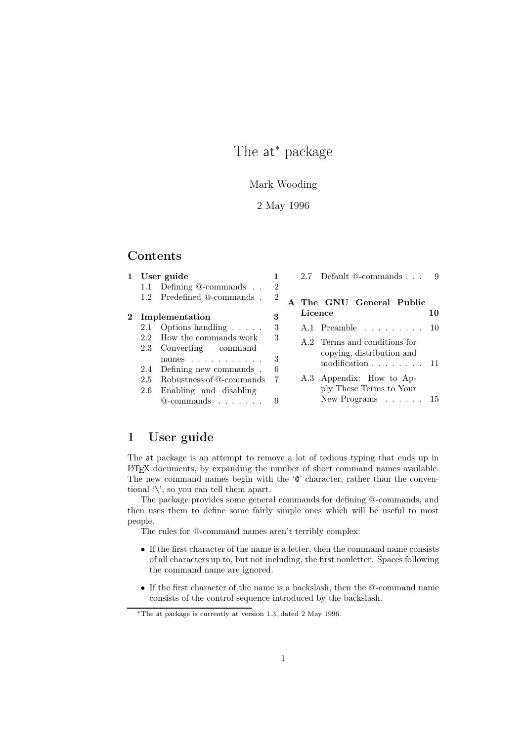# The at<sup>∗</sup> package

## Mark Wooding

## 2 May 1996

## Contents

| $\mathbf{1}$ |                  | User guide                      | $2.7$ Default $@$ -commands $\ldots$ |  |         |                                           |  |    |
|--------------|------------------|---------------------------------|--------------------------------------|--|---------|-------------------------------------------|--|----|
|              |                  | 1.1 Defining @-commands         | $\overline{2}$                       |  |         |                                           |  |    |
|              |                  | 1.2 Predefined @-commands.      | $\overline{2}$                       |  |         | A The GNU General Public                  |  |    |
|              | 2 Implementation |                                 | 3                                    |  | Licence |                                           |  | 10 |
|              |                  | 2.1 Options handling $\ldots$ . | 3                                    |  |         | A.1 Preamble $\dots \dots \dots \dots 10$ |  |    |
|              |                  | 2.2 How the commands work       | 3                                    |  |         | A.2 Terms and conditions for              |  |    |
|              |                  | 2.3 Converting command          |                                      |  |         | copying, distribution and                 |  |    |
|              |                  | names $\ldots$                  | 3                                    |  |         | modification $\ldots \ldots \ldots 11$    |  |    |
|              |                  | 2.4 Defining new commands.      | 6                                    |  |         |                                           |  |    |
|              |                  | 2.5 Robustness of @-commands    | 7                                    |  |         | A.3 Appendix: How to Ap-                  |  |    |
|              |                  | 2.6 Enabling and disabling      |                                      |  |         | ply These Terms to Your                   |  |    |
|              |                  | $@$ -commands                   | 9                                    |  |         | New Programs $\ldots$ $\ldots$ 15         |  |    |

## 1 User guide

The at package is an attempt to remove a lot of tedious typing that ends up in LATEX documents, by expanding the number of short command names available. The new command names begin with the ' $\mathcal{C}'$  character, rather than the conventional '\', so you can tell them apart.

The package provides some general commands for defining @-commands, and then uses them to define some fairly simple ones which will be useful to most people.

The rules for @-command names aren't terribly complex:

- If the first character of the name is a letter, then the command name consists of all characters up to, but not including, the first nonletter. Spaces following the command name are ignored.
- If the first character of the name is a backslash, then the @-command name consists of the control sequence introduced by the backslash.

<sup>∗</sup>The at package is currently at version 1.3, dated 2 May 1996.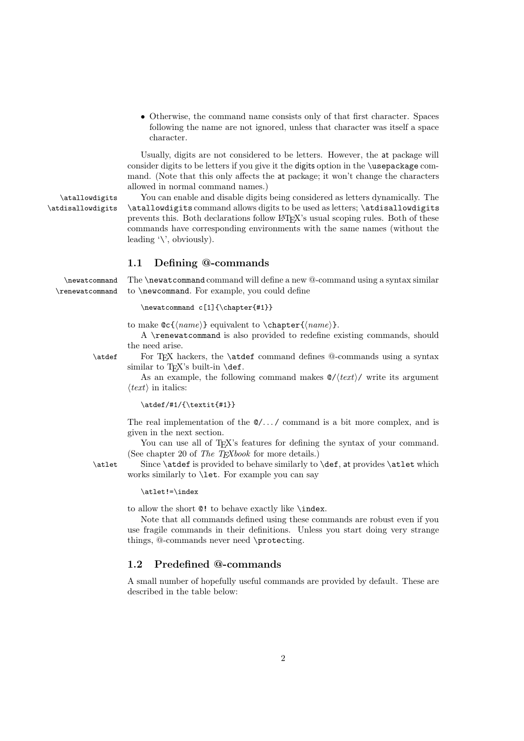• Otherwise, the command name consists only of that first character. Spaces following the name are not ignored, unless that character was itself a space character.

Usually, digits are not considered to be letters. However, the at package will consider digits to be letters if you give it the digits option in the \usepackage command. (Note that this only affects the at package; it won't change the characters allowed in normal command names.)

\atallowdigits You can enable and disable digits being considered as letters dynamically. The \atdisallowdigits \atallowdigits command allows digits to be used as letters; \atdisallowdigits prevents this. Both declarations follow LATEX's usual scoping rules. Both of these commands have corresponding environments with the same names (without the leading '\', obviously).

#### 1.1 Defining @-commands

\newatcommand The \newatcommand command will define a new @-command using a syntax similar \renewatcommand to \newcommand. For example, you could define

\newatcommand c[1]{\chapter{#1}}

to make  $\mathbb{C}({\text{name}})$  equivalent to \chapter{ ${\text{name}}$ .

A \renewatcommand is also provided to redefine existing commands, should the need arise.

\atdef For TEX hackers, the \atdef command defines @-commands using a syntax similar to T<sub>F</sub>X's built-in  $\det$ .

> As an example, the following command makes @/*text*/ write its argument  $\langle text \rangle$  in italics:

 $\atdef/#1/{\text{+}1}$ 

The real implementation of the  $\mathcal{Q}/\ldots$  command is a bit more complex, and is given in the next section.

You can use all of T<sub>EX</sub>'s features for defining the syntax of your command. (See chapter 20 of *The TEXbook* for more details.)

\atlet Since \atdef is provided to behave similarly to \def, at provides \atlet which works similarly to \let. For example you can say

\atlet!=\index

to allow the short @! to behave exactly like \index.

Note that all commands defined using these commands are robust even if you use fragile commands in their definitions. Unless you start doing very strange things, @-commands never need \protecting.

## 1.2 Predefined @-commands

A small number of hopefully useful commands are provided by default. These are described in the table below: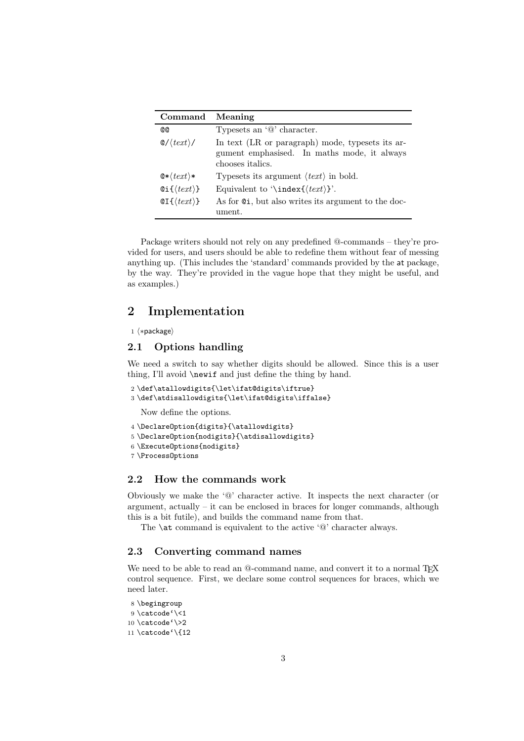| Command                                 | Meaning                                                                                                                     |
|-----------------------------------------|-----------------------------------------------------------------------------------------------------------------------------|
| <b>@@</b>                               | Typesets an $\omega$ character.                                                                                             |
| $\mathcal{Q}/\langle text \rangle/$     | In text (LR or paragraph) mode, typesets its ar-<br>gument emphasised. In maths mode, it always<br>chooses <i>italics</i> . |
| $\mathbf{Q}$ * $\langle text \rangle$ * | Typesets its argument $\langle text \rangle$ in bold.                                                                       |
| $Qi\$ (text)}                           | Equivalent to '\index{ $\langle text \rangle$ }'.                                                                           |
| $QI({\langle \text{text}\rangle})$      | As for $Q_i$ , but also writes its argument to the doc-<br>ument.                                                           |

Package writers should not rely on any predefined @-commands – they're provided for users, and users should be able to redefine them without fear of messing anything up. (This includes the 'standard' commands provided by the at package, by the way. They're provided in the vague hope that they might be useful, and as examples.)

## 2 Implementation

## $1 \langle * \text{package} \rangle$

## 2.1 Options handling

We need a switch to say whether digits should be allowed. Since this is a user thing, I'll avoid \newif and just define the thing by hand.

2 \def\atallowdigits{\let\ifat@digits\iftrue} 3 \def\atdisallowdigits{\let\ifat@digits\iffalse}

Now define the options.

```
4 \DeclareOption{digits}{\atallowdigits}
5 \DeclareOption{nodigits}{\atdisallowdigits}
6 \ExecuteOptions{nodigits}
7 \ProcessOptions
```
## 2.2 How the commands work

Obviously we make the '@' character active. It inspects the next character (or argument, actually – it can be enclosed in braces for longer commands, although this is a bit futile), and builds the command name from that.

The \at command is equivalent to the active '@' character always.

#### 2.3 Converting command names

We need to be able to read an @-command name, and convert it to a normal T<sub>EX</sub> control sequence. First, we declare some control sequences for braces, which we need later.

```
8 \begingroup
9 \catcode'\<1
10 \catcode'\>2
11 \catcode'\{12
```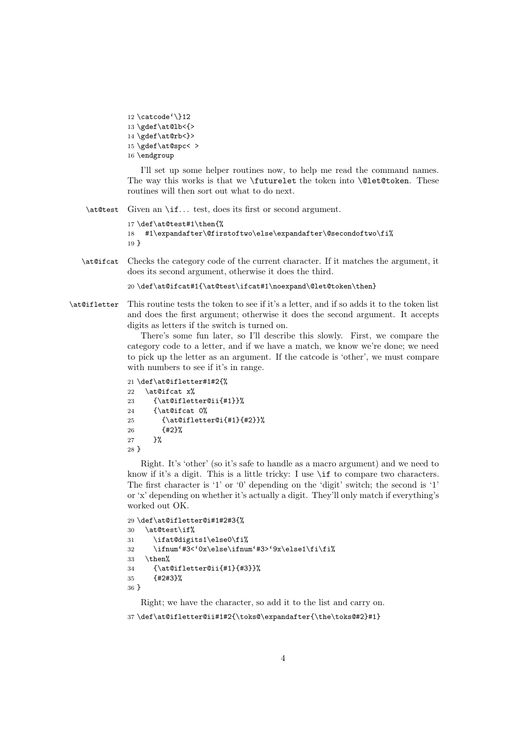```
12 \catcode'\}12
13 \gdef\at@lb<{>
14 \gdef\at@rb<}>
15 \gdef\at@spc< >
16 \endgroup
```
I'll set up some helper routines now, to help me read the command names. The way this works is that we \futurelet the token into \@let@token. These routines will then sort out what to do next.

\at@test Given an \if. . . test, does its first or second argument.

```
17 \def\at@test#1\then{%
18 #1\expandafter\@firstoftwo\else\expandafter\@secondoftwo\fi%
19 }
```
\at@ifcat Checks the category code of the current character. If it matches the argument, it does its second argument, otherwise it does the third.

```
20 \def\at@ifcat#1{\at@test\ifcat#1\noexpand\@let@token\then}
```
\at@ifletter This routine tests the token to see if it's a letter, and if so adds it to the token list and does the first argument; otherwise it does the second argument. It accepts digits as letters if the switch is turned on.

> There's some fun later, so I'll describe this slowly. First, we compare the category code to a letter, and if we have a match, we know we're done; we need to pick up the letter as an argument. If the catcode is 'other', we must compare with numbers to see if it's in range.

```
21 \def\at@ifletter#1#2{%
22 \at@ifcat x%
23 {\at@ifletter@ii{#1}}%
24 {\at@ifcat 0%
25 {\at@ifletter@i{#1}{#2}}%
26 {#2}%
27 }%
28 }
```
Right. It's 'other' (so it's safe to handle as a macro argument) and we need to know if it's a digit. This is a little tricky: I use \if to compare two characters. The first character is '1' or '0' depending on the 'digit' switch; the second is '1' or 'x' depending on whether it's actually a digit. They'll only match if everything's worked out OK.

```
29 \def\at@ifletter@i#1#2#3{%
30 \at@test\if%
31 \ifat@digits1\else0\fi%
32 \ifnum'#3<'0x\else\ifnum'#3>'9x\else1\fi\fi\%
33 \text{ thm}%
34 {\at@ifletter@ii{#1}{#3}}%
35 {#2#3}%
36 }
```
Right; we have the character, so add it to the list and carry on.

37 \def\at@ifletter@ii#1#2{\toks@\expandafter{\the\toks@#2}#1}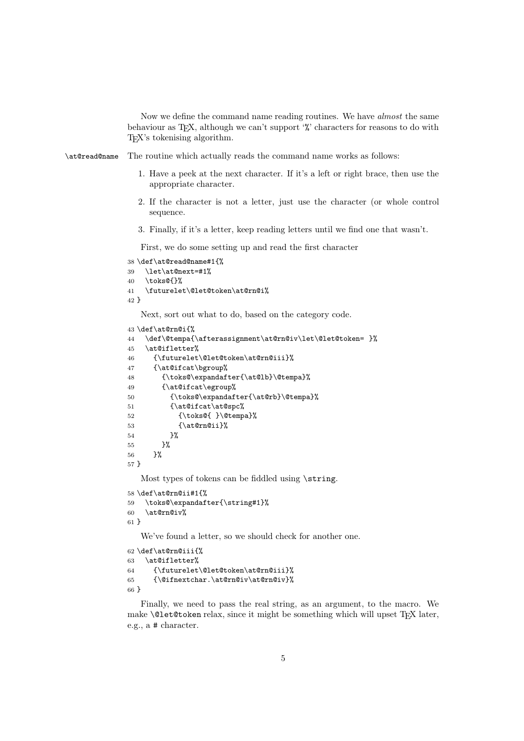Now we define the command name reading routines. We have *almost* the same behaviour as TEX, although we can't support '%' characters for reasons to do with TEX's tokenising algorithm.

\at@read@name The routine which actually reads the command name works as follows:

- 1. Have a peek at the next character. If it's a left or right brace, then use the appropriate character.
- 2. If the character is not a letter, just use the character (or whole control sequence.
- 3. Finally, if it's a letter, keep reading letters until we find one that wasn't.

First, we do some setting up and read the first character

```
38 \def\at@read@name#1{%
39 \let\at@next=#1%
40 \toks@{}%
41 \futurelet\@let@token\at@rn@i%
42 }
```
Next, sort out what to do, based on the category code.

```
43 \def\at@rn@i{%
```

```
44 \def\@tempa{\afterassignment\at@rn@iv\let\@let@token= }%
45 \at@ifletter%
46 {\futurelet\@let@token\at@rn@iii}%
47 {\at@ifcat\bgroup%
48 {\toks@\expandafter{\at@lb}\@tempa}%
49 {\at@ifcat\egroup%
50 {\toks@\expandafter{\at@rb}\@tempa}%
51 {\at@ifcat\at@spc%
52 {\toks@{ }\@tempa}%
53 {\at@rn@ii}%
54 }%
55 }%
56 }%
57 }
```
Most types of tokens can be fiddled using \string.

```
58 \def\at@rn@ii#1{%
59 \toks@\expandafter{\string#1}%
60 \at@rn@iv%
61 }
```
We've found a letter, so we should check for another one.

```
62 \def\at@rn@iii{%
63 \at@ifletter%
64 {\futurelet\@let@token\at@rn@iii}%
65 {\@ifnextchar.\at@rn@iv\at@rn@iv}%
66 }
```
Finally, we need to pass the real string, as an argument, to the macro. We make  $\Diamond$ let@token relax, since it might be something which will upset T<sub>E</sub>X later, e.g., a # character.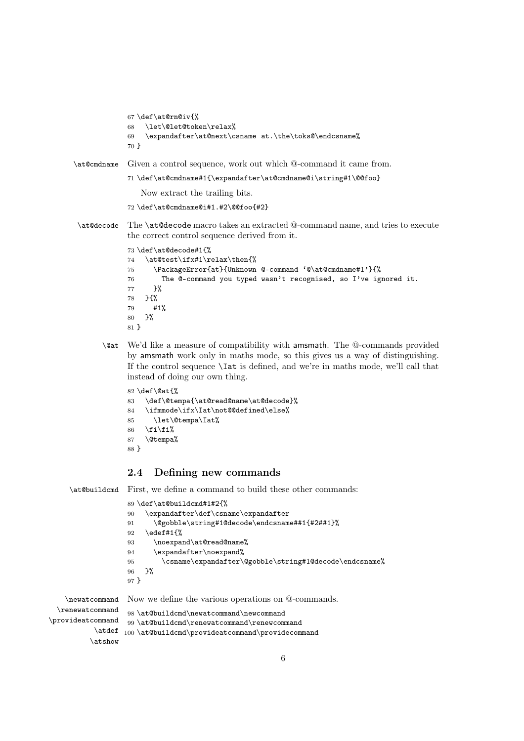```
67 \def\at@rn@iv{%
            68 \let\@let@token\relax%
            69 \expandafter\at@next\csname at.\the\toks@\endcsname%
            70 }
\at@cmdname Given a control sequence, work out which @-command it came from.
            71 \def\at@cmdname#1{\expandafter\at@cmdname@i\string#1\@@foo}
                Now extract the trailing bits.
             72 \def\at@cmdname@i#1.#2\@@foo{#2}
\at@decode The \at@decode macro takes an extracted @-command name, and tries to execute
            the correct control sequence derived from it.
            73 \def\at@decode#1{%
            74 \at@test\ifx#1\relax\then{%
            75 \PackageError{at}{Unknown @-command '@\at@cmdname#1'}{%
            76 The @-command you typed wasn't recognised, so I've ignored it.
            77 }%
            78 }{%
            79 #1%
            80 }%
            81 }
      \@at We'd like a measure of compatibility with amsmath. The @-commands provided
```
by amsmath work only in maths mode, so this gives us a way of distinguishing. If the control sequence \Iat is defined, and we're in maths mode, we'll call that instead of doing our own thing.

```
82 \def\@at{%
83 \def\@tempa{\at@read@name\at@decode}%
84 \ifmmode\ifx\Iat\not@@defined\else%
85 \let\@tempa\Iat%
86 \fi\fi%
87 \@tempa%
88 }
```
## 2.4 Defining new commands

\at@buildcmd First, we define a command to build these other commands:

|                                                 | 89 \def\at@buildcmd#1#2{%<br>\expandafter\def\csname\expandafter<br>90<br>\@gobble\string#1@decode\endcsname##1{#2##1}%<br>91<br>edef#1{%<br>92<br>\noexpand\at@read@name%<br>93<br>\expandafter\noexpand%<br>94<br>\csname\expandafter\@gobble\string#1@decode\endcsname%<br>95<br>ጉ%<br>96<br>$97$ } |  |  |  |  |
|-------------------------------------------------|--------------------------------------------------------------------------------------------------------------------------------------------------------------------------------------------------------------------------------------------------------------------------------------------------------|--|--|--|--|
| \newatcommand                                   | Now we define the various operations on @-commands.                                                                                                                                                                                                                                                    |  |  |  |  |
| \renewatcommand<br>$or$ ideat $\,$ command $\,$ | 98 \at@buildcmd\newatcommand\newcommand<br>99 \at@buildcmd\renevatcommand\renevcommand                                                                                                                                                                                                                 |  |  |  |  |

\provideatcommand \atdef 100 \at@buildcmd\provideatcommand\providecommand \atshow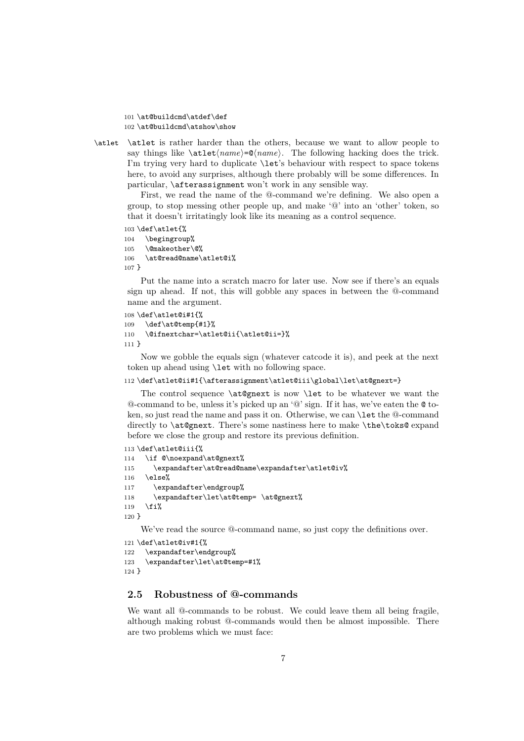101 \at@buildcmd\atdef\def 102 \at@buildcmd\atshow\show

\atlet \atlet is rather harder than the others, because we want to allow people to say things like  $\text{name}=\text{name}$ . The following hacking does the trick. I'm trying very hard to duplicate \let's behaviour with respect to space tokens here, to avoid any surprises, although there probably will be some differences. In particular, \afterassignment won't work in any sensible way.

First, we read the name of the @-command we're defining. We also open a group, to stop messing other people up, and make '@' into an 'other' token, so that it doesn't irritatingly look like its meaning as a control sequence.

```
103 \def\atlet{%
104 \begingroup%
105 \@makeother\@%
106 \at@read@name\atlet@i%
107 }
```
Put the name into a scratch macro for later use. Now see if there's an equals sign up ahead. If not, this will gobble any spaces in between the @-command name and the argument.

```
108 \def\atlet@i#1{%
109 \def\at@temp{#1}%
110 \@ifnextchar=\atlet@ii{\atlet@ii=}%
111 }
```
Now we gobble the equals sign (whatever catcode it is), and peek at the next token up ahead using \let with no following space.

#### 112 \def\atlet@ii#1{\afterassignment\atlet@iii\global\let\at@gnext=}

The control sequence \at@gnext is now \let to be whatever we want the  $@$ -command to be, unless it's picked up an ' $@$ ' sign. If it has, we've eaten the  $@$  token, so just read the name and pass it on. Otherwise, we can \let the @-command directly to **\at@gnext**. There's some nastiness here to make **\the\toks@** expand before we close the group and restore its previous definition.

```
113 \def\atlet@iii{%
114 \if @\noexpand\at@gnext%
115 \expandafter\at@read@name\expandafter\atlet@iv%
116 \else%
117 \expandafter\endgroup%
118 \expandafter\let\at@temp= \at@gnext%
119 \overline{12}120 }
```
We've read the source @-command name, so just copy the definitions over.

```
121 \def\atlet@iv#1{%
122 \expandafter\endgroup%
123 \expandafter\let\at@temp=#1%
124 }
```
## 2.5 Robustness of @-commands

We want all @-commands to be robust. We could leave them all being fragile, although making robust @-commands would then be almost impossible. There are two problems which we must face: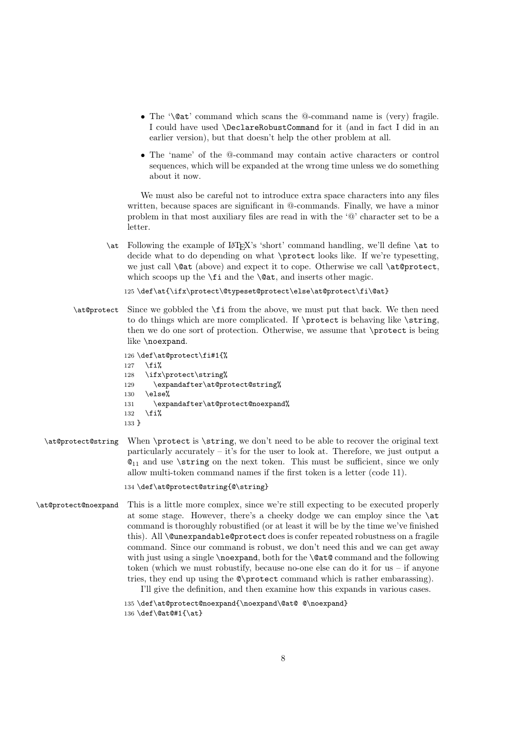- The '\@at' command which scans the @-command name is (very) fragile. I could have used \DeclareRobustCommand for it (and in fact I did in an earlier version), but that doesn't help the other problem at all.
- The 'name' of the @-command may contain active characters or control sequences, which will be expanded at the wrong time unless we do something about it now.

We must also be careful not to introduce extra space characters into any files written, because spaces are significant in @-commands. Finally, we have a minor problem in that most auxiliary files are read in with the '@' character set to be a letter.

\at Following the example of LATEX's 'short' command handling, we'll define \at to decide what to do depending on what \protect looks like. If we're typesetting, we just call **\@at** (above) and expect it to cope. Otherwise we call **\at@protect**, which scoops up the  $\iota$  and the  $\Diamond$  at, and inserts other magic.

125 \def\at{\ifx\protect\@typeset@protect\else\at@protect\fi\@at}

\at@protect Since we gobbled the \fi from the above, we must put that back. We then need to do things which are more complicated. If \protect is behaving like \string, then we do one sort of protection. Otherwise, we assume that \protect is being like \noexpand.

```
126 \def\at@protect\fi#1{%
127 \fi%
128 \ifx\protect\string%
129 \expandafter\at@protect@string%
130 \else%
131 \expandafter\at@protect@noexpand%
132 \overline{ii}133 }
```
\at@protect@string When \protect is \string, we don't need to be able to recover the original text particularly accurately  $-$  it's for the user to look at. Therefore, we just output a  $\mathcal{Q}_{11}$  and use **\string** on the next token. This must be sufficient, since we only allow multi-token command names if the first token is a letter (code 11).

#### 134 \def\at@protect@string{@\string}

\at@protect@noexpand This is a little more complex, since we're still expecting to be executed properly at some stage. However, there's a cheeky dodge we can employ since the \at command is thoroughly robustified (or at least it will be by the time we've finished this). All **\@unexpandable@protect** does is confer repeated robustness on a fragile command. Since our command is robust, we don't need this and we can get away with just using a single \noexpand, both for the \@at@ command and the following token (which we must robustify, because no-one else can do it for us – if anyone tries, they end up using the @\protect command which is rather embarassing).

I'll give the definition, and then examine how this expands in various cases.

135 \def\at@protect@noexpand{\noexpand\@at@ @\noexpand} 136 \def\@at@#1{\at}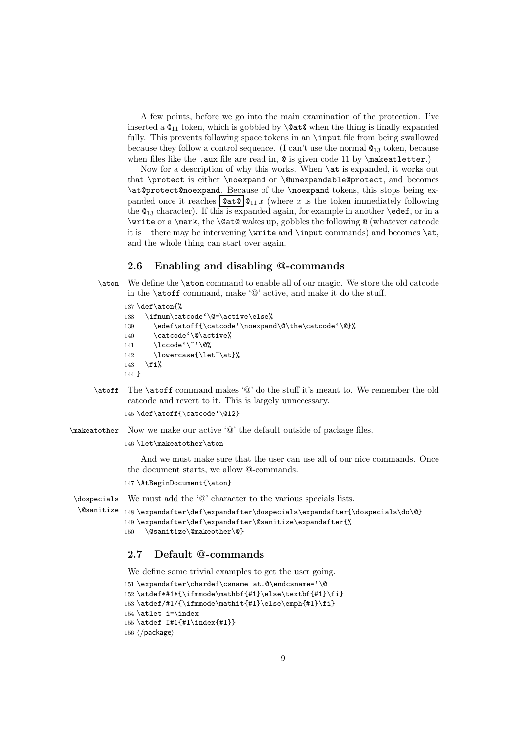A few points, before we go into the main examination of the protection. I've inserted a  $\mathbb{Q}_{11}$  token, which is gobbled by  $\mathcal{Q}$  when the thing is finally expanded fully. This prevents following space tokens in an \input file from being swallowed because they follow a control sequence. (I can't use the normal @<sup>13</sup> token, because when files like the .aux file are read in,  $\mathbf{\circ}$  is given code 11 by \makeatletter.)

Now for a description of why this works. When \at is expanded, it works out that \protect is either \noexpand or \@unexpandable@protect, and becomes \at@protect@noexpand. Because of the \noexpand tokens, this stops being expanded once it reaches  $\boxed{\mathcal{Q}at\mathcal{Q}}\mathcal{Q}_{11}x$  (where x is the token immediately following the  $\mathcal{Q}_{13}$  character). If this is expanded again, for example in another **\edef**, or in a \write or a \mark, the \@at@ wakes up, gobbles the following @ (whatever catcode it is – there may be intervening  $\write$  and  $\input$  commands) and becomes  $\at$ , and the whole thing can start over again.

#### 2.6 Enabling and disabling @-commands

\aton We define the \aton command to enable all of our magic. We store the old catcode in the \atoff command, make '@' active, and make it do the stuff.

```
137 \def\aton{%
```

```
138 \ifnum\catcode'\@=\active\else%
139 \edef\atoff{\catcode'\noexpand\@\the\catcode'\@}%
140 \catcode'\@\active%
141 \lccode'\~'\@%
142 \lowercase{\let~\at}%
143 \overline{143}144 }
```
\atoff The \atoff command makes '@' do the stuff it's meant to. We remember the old catcode and revert to it. This is largely unnecessary.

```
145 \def\atoff{\catcode'\@12}
```
\makeatother Now we make our active '@' the default outside of package files.

#### 146 \let\makeatother\aton

And we must make sure that the user can use all of our nice commands. Once the document starts, we allow @-commands.

147 \AtBeginDocument{\aton}

```
\dospecials
            We must add the '@' character to the various specials lists.
```

```
\@sanitize
148 \expandafter\def\expandafter\dospecials\expandafter{\dospecials\do\@}
           149 \expandafter\def\expandafter\@sanitize\expandafter{%
           150 \@sanitize\@makeother\@}
```
#### 2.7 Default @-commands

We define some trivial examples to get the user going.

```
151 \expandafter\chardef\csname at.@\endcsname='\@
152 \atdef*#1*{\ifmmode\mathbf{#1}\else\textbf{#1}\fi}
153 \atdef/#1/{\ifmmode\mathit{#1}\else\emph{#1}\fi}
154 \atlet i=\index
155 \atdef I#1{#1\index{#1}}
156 \langle/package\rangle
```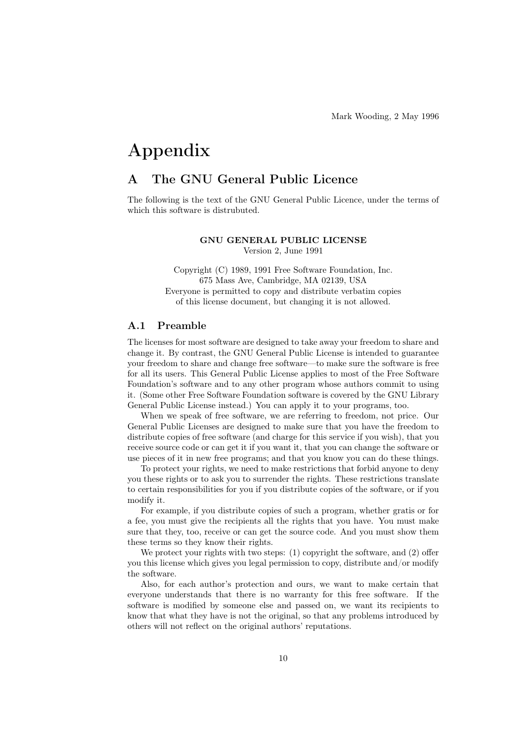# Appendix

## A The GNU General Public Licence

The following is the text of the GNU General Public Licence, under the terms of which this software is distrubuted.

## GNU GENERAL PUBLIC LICENSE

Version 2, June 1991

Copyright (C) 1989, 1991 Free Software Foundation, Inc. 675 Mass Ave, Cambridge, MA 02139, USA Everyone is permitted to copy and distribute verbatim copies of this license document, but changing it is not allowed.

### A.1 Preamble

The licenses for most software are designed to take away your freedom to share and change it. By contrast, the GNU General Public License is intended to guarantee your freedom to share and change free software—to make sure the software is free for all its users. This General Public License applies to most of the Free Software Foundation's software and to any other program whose authors commit to using it. (Some other Free Software Foundation software is covered by the GNU Library General Public License instead.) You can apply it to your programs, too.

When we speak of free software, we are referring to freedom, not price. Our General Public Licenses are designed to make sure that you have the freedom to distribute copies of free software (and charge for this service if you wish), that you receive source code or can get it if you want it, that you can change the software or use pieces of it in new free programs; and that you know you can do these things.

To protect your rights, we need to make restrictions that forbid anyone to deny you these rights or to ask you to surrender the rights. These restrictions translate to certain responsibilities for you if you distribute copies of the software, or if you modify it.

For example, if you distribute copies of such a program, whether gratis or for a fee, you must give the recipients all the rights that you have. You must make sure that they, too, receive or can get the source code. And you must show them these terms so they know their rights.

We protect your rights with two steps: (1) copyright the software, and (2) offer you this license which gives you legal permission to copy, distribute and/or modify the software.

Also, for each author's protection and ours, we want to make certain that everyone understands that there is no warranty for this free software. If the software is modified by someone else and passed on, we want its recipients to know that what they have is not the original, so that any problems introduced by others will not reflect on the original authors' reputations.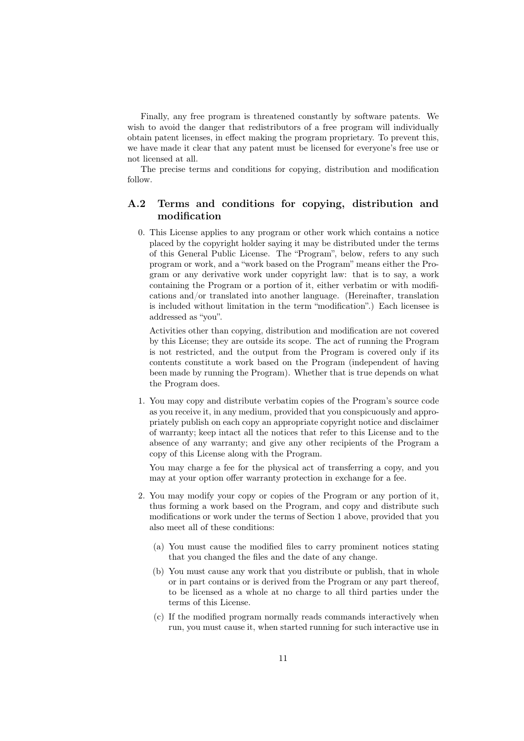Finally, any free program is threatened constantly by software patents. We wish to avoid the danger that redistributors of a free program will individually obtain patent licenses, in effect making the program proprietary. To prevent this, we have made it clear that any patent must be licensed for everyone's free use or not licensed at all.

The precise terms and conditions for copying, distribution and modification follow.

## A.2 Terms and conditions for copying, distribution and modification

0. This License applies to any program or other work which contains a notice placed by the copyright holder saying it may be distributed under the terms of this General Public License. The "Program", below, refers to any such program or work, and a "work based on the Program" means either the Program or any derivative work under copyright law: that is to say, a work containing the Program or a portion of it, either verbatim or with modifications and/or translated into another language. (Hereinafter, translation is included without limitation in the term "modification".) Each licensee is addressed as "you".

Activities other than copying, distribution and modification are not covered by this License; they are outside its scope. The act of running the Program is not restricted, and the output from the Program is covered only if its contents constitute a work based on the Program (independent of having been made by running the Program). Whether that is true depends on what the Program does.

1. You may copy and distribute verbatim copies of the Program's source code as you receive it, in any medium, provided that you conspicuously and appropriately publish on each copy an appropriate copyright notice and disclaimer of warranty; keep intact all the notices that refer to this License and to the absence of any warranty; and give any other recipients of the Program a copy of this License along with the Program.

You may charge a fee for the physical act of transferring a copy, and you may at your option offer warranty protection in exchange for a fee.

- 2. You may modify your copy or copies of the Program or any portion of it, thus forming a work based on the Program, and copy and distribute such modifications or work under the terms of Section 1 above, provided that you also meet all of these conditions:
	- (a) You must cause the modified files to carry prominent notices stating that you changed the files and the date of any change.
	- (b) You must cause any work that you distribute or publish, that in whole or in part contains or is derived from the Program or any part thereof, to be licensed as a whole at no charge to all third parties under the terms of this License.
	- (c) If the modified program normally reads commands interactively when run, you must cause it, when started running for such interactive use in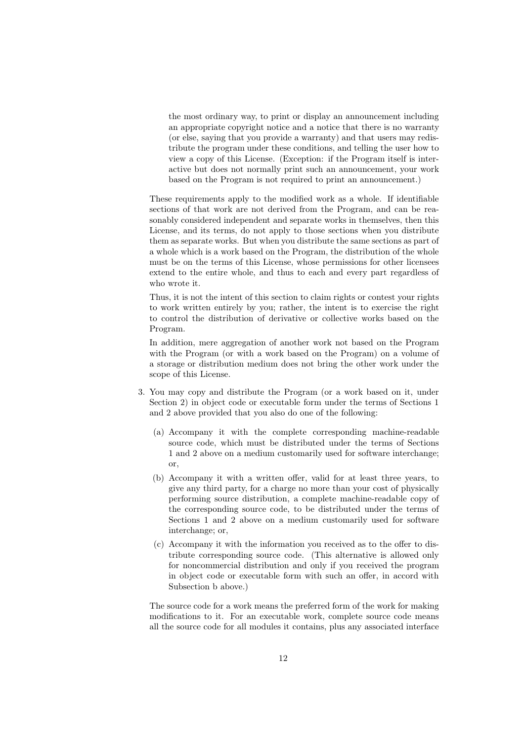the most ordinary way, to print or display an announcement including an appropriate copyright notice and a notice that there is no warranty (or else, saying that you provide a warranty) and that users may redistribute the program under these conditions, and telling the user how to view a copy of this License. (Exception: if the Program itself is interactive but does not normally print such an announcement, your work based on the Program is not required to print an announcement.)

These requirements apply to the modified work as a whole. If identifiable sections of that work are not derived from the Program, and can be reasonably considered independent and separate works in themselves, then this License, and its terms, do not apply to those sections when you distribute them as separate works. But when you distribute the same sections as part of a whole which is a work based on the Program, the distribution of the whole must be on the terms of this License, whose permissions for other licensees extend to the entire whole, and thus to each and every part regardless of who wrote it.

Thus, it is not the intent of this section to claim rights or contest your rights to work written entirely by you; rather, the intent is to exercise the right to control the distribution of derivative or collective works based on the Program.

In addition, mere aggregation of another work not based on the Program with the Program (or with a work based on the Program) on a volume of a storage or distribution medium does not bring the other work under the scope of this License.

- 3. You may copy and distribute the Program (or a work based on it, under Section 2) in object code or executable form under the terms of Sections 1 and 2 above provided that you also do one of the following:
	- (a) Accompany it with the complete corresponding machine-readable source code, which must be distributed under the terms of Sections 1 and 2 above on a medium customarily used for software interchange; or,
	- (b) Accompany it with a written offer, valid for at least three years, to give any third party, for a charge no more than your cost of physically performing source distribution, a complete machine-readable copy of the corresponding source code, to be distributed under the terms of Sections 1 and 2 above on a medium customarily used for software interchange; or,
	- (c) Accompany it with the information you received as to the offer to distribute corresponding source code. (This alternative is allowed only for noncommercial distribution and only if you received the program in object code or executable form with such an offer, in accord with Subsection b above.)

The source code for a work means the preferred form of the work for making modifications to it. For an executable work, complete source code means all the source code for all modules it contains, plus any associated interface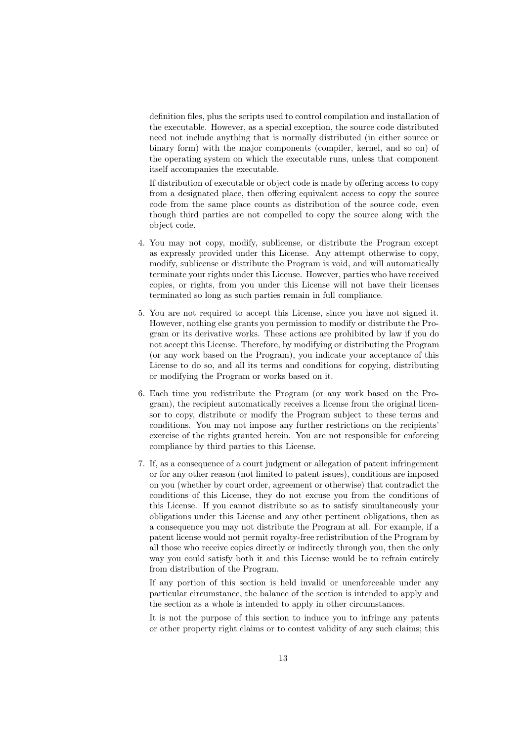definition files, plus the scripts used to control compilation and installation of the executable. However, as a special exception, the source code distributed need not include anything that is normally distributed (in either source or binary form) with the major components (compiler, kernel, and so on) of the operating system on which the executable runs, unless that component itself accompanies the executable.

If distribution of executable or object code is made by offering access to copy from a designated place, then offering equivalent access to copy the source code from the same place counts as distribution of the source code, even though third parties are not compelled to copy the source along with the object code.

- 4. You may not copy, modify, sublicense, or distribute the Program except as expressly provided under this License. Any attempt otherwise to copy, modify, sublicense or distribute the Program is void, and will automatically terminate your rights under this License. However, parties who have received copies, or rights, from you under this License will not have their licenses terminated so long as such parties remain in full compliance.
- 5. You are not required to accept this License, since you have not signed it. However, nothing else grants you permission to modify or distribute the Program or its derivative works. These actions are prohibited by law if you do not accept this License. Therefore, by modifying or distributing the Program (or any work based on the Program), you indicate your acceptance of this License to do so, and all its terms and conditions for copying, distributing or modifying the Program or works based on it.
- 6. Each time you redistribute the Program (or any work based on the Program), the recipient automatically receives a license from the original licensor to copy, distribute or modify the Program subject to these terms and conditions. You may not impose any further restrictions on the recipients' exercise of the rights granted herein. You are not responsible for enforcing compliance by third parties to this License.
- 7. If, as a consequence of a court judgment or allegation of patent infringement or for any other reason (not limited to patent issues), conditions are imposed on you (whether by court order, agreement or otherwise) that contradict the conditions of this License, they do not excuse you from the conditions of this License. If you cannot distribute so as to satisfy simultaneously your obligations under this License and any other pertinent obligations, then as a consequence you may not distribute the Program at all. For example, if a patent license would not permit royalty-free redistribution of the Program by all those who receive copies directly or indirectly through you, then the only way you could satisfy both it and this License would be to refrain entirely from distribution of the Program.

If any portion of this section is held invalid or unenforceable under any particular circumstance, the balance of the section is intended to apply and the section as a whole is intended to apply in other circumstances.

It is not the purpose of this section to induce you to infringe any patents or other property right claims or to contest validity of any such claims; this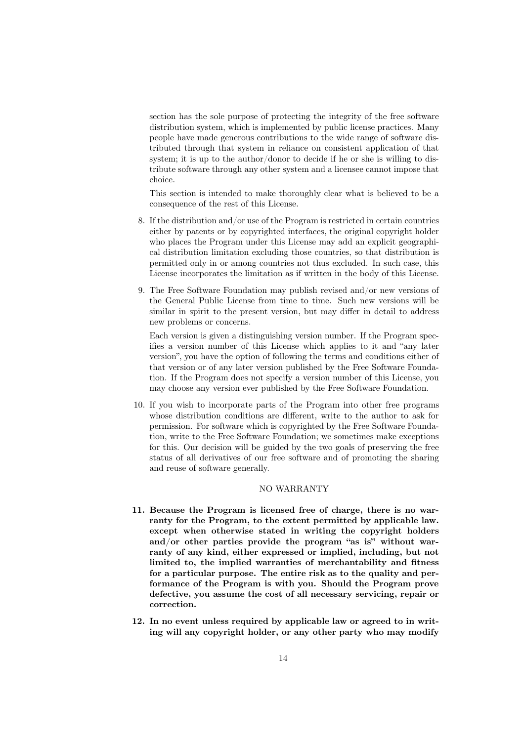section has the sole purpose of protecting the integrity of the free software distribution system, which is implemented by public license practices. Many people have made generous contributions to the wide range of software distributed through that system in reliance on consistent application of that system; it is up to the author/donor to decide if he or she is willing to distribute software through any other system and a licensee cannot impose that choice.

This section is intended to make thoroughly clear what is believed to be a consequence of the rest of this License.

- 8. If the distribution and/or use of the Program is restricted in certain countries either by patents or by copyrighted interfaces, the original copyright holder who places the Program under this License may add an explicit geographical distribution limitation excluding those countries, so that distribution is permitted only in or among countries not thus excluded. In such case, this License incorporates the limitation as if written in the body of this License.
- 9. The Free Software Foundation may publish revised and/or new versions of the General Public License from time to time. Such new versions will be similar in spirit to the present version, but may differ in detail to address new problems or concerns.

Each version is given a distinguishing version number. If the Program specifies a version number of this License which applies to it and "any later version", you have the option of following the terms and conditions either of that version or of any later version published by the Free Software Foundation. If the Program does not specify a version number of this License, you may choose any version ever published by the Free Software Foundation.

10. If you wish to incorporate parts of the Program into other free programs whose distribution conditions are different, write to the author to ask for permission. For software which is copyrighted by the Free Software Foundation, write to the Free Software Foundation; we sometimes make exceptions for this. Our decision will be guided by the two goals of preserving the free status of all derivatives of our free software and of promoting the sharing and reuse of software generally.

#### NO WARRANTY

- 11. Because the Program is licensed free of charge, there is no warranty for the Program, to the extent permitted by applicable law. except when otherwise stated in writing the copyright holders and/or other parties provide the program "as is" without warranty of any kind, either expressed or implied, including, but not limited to, the implied warranties of merchantability and fitness for a particular purpose. The entire risk as to the quality and performance of the Program is with you. Should the Program prove defective, you assume the cost of all necessary servicing, repair or correction.
- 12. In no event unless required by applicable law or agreed to in writing will any copyright holder, or any other party who may modify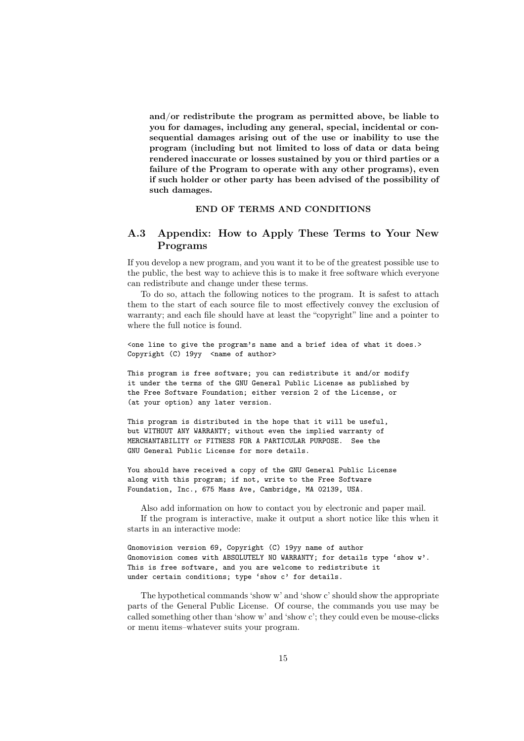and/or redistribute the program as permitted above, be liable to you for damages, including any general, special, incidental or consequential damages arising out of the use or inability to use the program (including but not limited to loss of data or data being rendered inaccurate or losses sustained by you or third parties or a failure of the Program to operate with any other programs), even if such holder or other party has been advised of the possibility of such damages.

#### END OF TERMS AND CONDITIONS

## A.3 Appendix: How to Apply These Terms to Your New Programs

If you develop a new program, and you want it to be of the greatest possible use to the public, the best way to achieve this is to make it free software which everyone can redistribute and change under these terms.

To do so, attach the following notices to the program. It is safest to attach them to the start of each source file to most effectively convey the exclusion of warranty; and each file should have at least the "copyright" line and a pointer to where the full notice is found.

<one line to give the program's name and a brief idea of what it does.> Copyright (C)  $19yy$  <name of author>

This program is free software; you can redistribute it and/or modify it under the terms of the GNU General Public License as published by the Free Software Foundation; either version 2 of the License, or (at your option) any later version.

This program is distributed in the hope that it will be useful, but WITHOUT ANY WARRANTY; without even the implied warranty of MERCHANTABILITY or FITNESS FOR A PARTICULAR PURPOSE. See the GNU General Public License for more details.

You should have received a copy of the GNU General Public License along with this program; if not, write to the Free Software Foundation, Inc., 675 Mass Ave, Cambridge, MA 02139, USA.

Also add information on how to contact you by electronic and paper mail. If the program is interactive, make it output a short notice like this when it starts in an interactive mode:

Gnomovision version 69, Copyright (C) 19yy name of author Gnomovision comes with ABSOLUTELY NO WARRANTY; for details type 'show w'. This is free software, and you are welcome to redistribute it under certain conditions; type 'show c' for details.

The hypothetical commands 'show w' and 'show c' should show the appropriate parts of the General Public License. Of course, the commands you use may be called something other than 'show w' and 'show c'; they could even be mouse-clicks or menu items–whatever suits your program.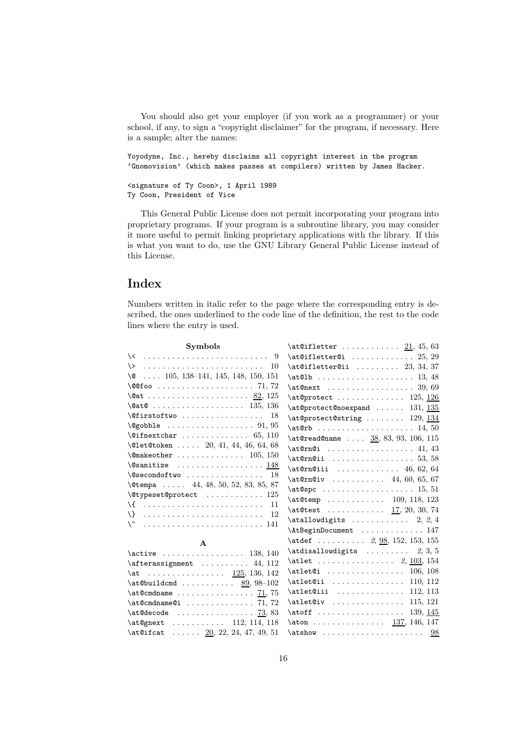You should also get your employer (if you work as a programmer) or your school, if any, to sign a "copyright disclaimer" for the program, if necessary. Here is a sample; alter the names:

Yoyodyne, Inc., hereby disclaims all copyright interest in the program 'Gnomovision' (which makes passes at compilers) written by James Hacker.

```
<signature of Ty Coon>, 1 April 1989
Ty Coon, President of Vice
```
This General Public License does not permit incorporating your program into proprietary programs. If your program is a subroutine library, you may consider it more useful to permit linking proprietary applications with the library. If this is what you want to do, use the GNU Library General Public License instead of this License.

## Index

Numbers written in italic refer to the page where the corresponding entry is described, the ones underlined to the code line of the definition, the rest to the code lines where the entry is used.

| <b>Symbols</b>                                                            | $\at$ 0ifletter $21, 45, 63$                                                                                                                                                                                                                                                                                                                                                        |
|---------------------------------------------------------------------------|-------------------------------------------------------------------------------------------------------------------------------------------------------------------------------------------------------------------------------------------------------------------------------------------------------------------------------------------------------------------------------------|
| $\setminus$ <  9                                                          | $\atop$                                                                                                                                                                                                                                                                                                                                                                             |
|                                                                           | $\atop 0$ at@ifletter@ii  23, 34, 37                                                                                                                                                                                                                                                                                                                                                |
| $\sqrt{6}$ 105, 138-141, 145, 148, 150, 151                               |                                                                                                                                                                                                                                                                                                                                                                                     |
| $\sqrt{@foo \ldots \ldots \ldots \ldots \ldots 71, 72}$                   | $\atop 0$ at $\mathcal{O}$ at $\mathcal{O}$ 39, 69                                                                                                                                                                                                                                                                                                                                  |
| $\sqrt{a}t$ 82, 125                                                       | $\atop{\text{approx}}$ 125, 126                                                                                                                                                                                                                                                                                                                                                     |
|                                                                           | $\atop 0$ at @protect@noexpand  131, 135                                                                                                                                                                                                                                                                                                                                            |
| $\text{Cifirstoftwo}$ 18                                                  | $\text{\textcircled{string}} \dots \dots \dots 129, \frac{134}{13}$                                                                                                                                                                                                                                                                                                                 |
| $\qquad$                                                                  |                                                                                                                                                                                                                                                                                                                                                                                     |
| $\left\{ \text{Cifnextchar } \ldots \ldots \ldots \quad 65, 110 \right\}$ | $\text{Aread@name}$ $\underline{38}$ , 83, 93, 106, 115                                                                                                                                                                                                                                                                                                                             |
| $\text{Qlet@token} \dots \dots \quad 20, 41, 44, 46, 64, 68$              | $\atop 1$ , 43                                                                                                                                                                                                                                                                                                                                                                      |
| $\{\n$ emakeother  105, 150                                               | $\atop \text{atQrnQii}$ 53, 58                                                                                                                                                                                                                                                                                                                                                      |
| $\sqrt{e}$ sanitize  148                                                  | $\atop 0$ at CrnCiii  46, 62, 64                                                                                                                                                                                                                                                                                                                                                    |
| $\setminus$ @secondoftwo  18                                              | $\atop{\text{at@rn@iv}}$ 44, 60, 65, 67                                                                                                                                                                                                                                                                                                                                             |
| \@tempa  44, 48, 50, 52, 83, 85, 87                                       |                                                                                                                                                                                                                                                                                                                                                                                     |
| $\setminus$ @typeset @protect  125                                        | $\text{detemp}$ 109, 118, 123                                                                                                                                                                                                                                                                                                                                                       |
| \{  11                                                                    | $\texttt{det}$ 17, 20, 30, 74                                                                                                                                                                                                                                                                                                                                                       |
|                                                                           | $\atop$ atallow digits  2, 2, 4                                                                                                                                                                                                                                                                                                                                                     |
|                                                                           | \AtBeginDocument  147                                                                                                                                                                                                                                                                                                                                                               |
| $\mathbf{A}$                                                              | $\text{det}$ 2, 98, 152, 153, 155                                                                                                                                                                                                                                                                                                                                                   |
| $\active$ 138, 140                                                        | $\atop$ atdisallow digits $2, 3, 5$                                                                                                                                                                                                                                                                                                                                                 |
| $\after assignment \dots \dots 44, 112$                                   | $\text{let}$ 2, 103, 154                                                                                                                                                                                                                                                                                                                                                            |
| $\atop{at}$ 125, 136, 142                                                 | $\alpha$ : $\alpha$ : $\beta$ : $\beta$ : $\beta$ : $\beta$ : $\beta$ : $\beta$ : $\beta$ : $\beta$ : $\beta$ : $\beta$ : $\beta$ : $\beta$ : $\beta$ : $\beta$ : $\beta$ : $\beta$ : $\beta$ : $\beta$ : $\beta$ : $\beta$ : $\beta$ : $\beta$ : $\beta$ : $\beta$ : $\beta$ : $\beta$ : $\beta$ : $\beta$ : $\beta$ : $\beta$ : $\beta$ : $\beta$ : $\beta$ : $\beta$ : $\beta$ : |
| $\atop 0$ \at@buildcmd  89, 98-102                                        | \atlet@ii  110, 112                                                                                                                                                                                                                                                                                                                                                                 |
|                                                                           | \atlet@iii  112, 113                                                                                                                                                                                                                                                                                                                                                                |
| $\atop 0$ at @cmdname@i  71,72                                            | $\text{let@iv}$ 115, 121                                                                                                                                                                                                                                                                                                                                                            |
|                                                                           | $\atof f$ 139, 145                                                                                                                                                                                                                                                                                                                                                                  |
| \at@gnext  112, 114, 118                                                  | $\atop 0$ 137, 146, 147                                                                                                                                                                                                                                                                                                                                                             |
| $\text{\alpha}$ $\underline{20}$ , 22, 24, 47, 49, 51                     |                                                                                                                                                                                                                                                                                                                                                                                     |